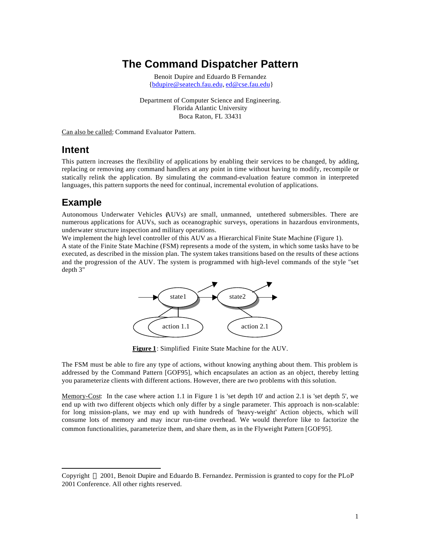# **The Command Dispatcher Pattern**

Benoit Dupire and Eduardo B Fernandez {bdupire@seatech.fau.edu, ed@cse.fau.edu}

Department of Computer Science and Engineering. Florida Atlantic University Boca Raton, FL 33431

Can also be called: Command Evaluator Pattern.

### **Intent**

This pattern increases the flexibility of applications by enabling their services to be changed, by adding, replacing or removing any command handlers at any point in time without having to modify, recompile or statically relink the application. By simulating the command-evaluation feature common in interpreted languages, this pattern supports the need for continual, incremental evolution of applications.

## **Example**

l

Autonomous Underwater Vehicles (AUVs) are small, unmanned, untethered submersibles. There are numerous applications for AUVs, such as oceanographic surveys, operations in hazardous environments, underwater structure inspection and military operations.

We implement the high level controller of this AUV as a Hierarchical Finite State Machine (Figure 1).

A state of the Finite State Machine (FSM) represents a mode of the system, in which some tasks have to be executed, as described in the mission plan. The system takes transitions based on the results of these actions and the progression of the AUV. The system is programmed with high-level commands of the style "set depth 3"



**Figure 1**: Simplified Finite State Machine for the AUV.

The FSM must be able to fire any type of actions, without knowing anything about them. This problem is addressed by the Command Pattern [GOF95], which encapsulates an action as an object, thereby letting you parameterize clients with different actions. However, there are two problems with this solution.

Memory-Cost: In the case where action 1.1 in Figure 1 is 'set depth 10' and action 2.1 is 'set depth 5', we end up with two different objects which only differ by a single parameter. This approach is non-scalable: for long mission-plans, we may end up with hundreds of 'heavy-weight' Action objects, which will consume lots of memory and may incur run-time overhead. We would therefore like to factorize the common functionalities, parameterize them, and share them, as in the Flyweight Pattern [GOF95].

Copyright  $\odot$  2001, Benoit Dupire and Eduardo B. Fernandez. Permission is granted to copy for the PLoP 2001 Conference. All other rights reserved.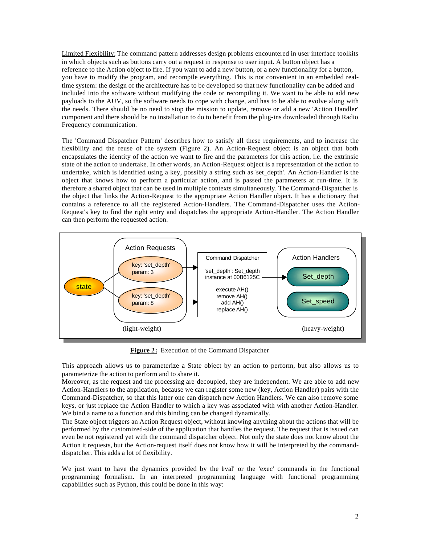Limited Flexibility: The command pattern addresses design problems encountered in user interface toolkits in which objects such as buttons carry out a request in response to user input. A button object has a reference to the Action object to fire. If you want to add a new button, or a new functionality for a button, you have to modify the program, and recompile everything. This is not convenient in an embedded realtime system: the design of the architecture has to be developed so that new functionality can be added and included into the software without modifying the code or recompiling it. We want to be able to add new payloads to the AUV, so the software needs to cope with change, and has to be able to evolve along with the needs. There should be no need to stop the mission to update, remove or add a new 'Action Handler' component and there should be no installation to do to benefit from the plug-ins downloaded through Radio Frequency communication.

The 'Command Dispatcher Pattern' describes how to satisfy all these requirements, and to increase the flexibility and the reuse of the system (Figure 2). An Action-Request object is an object that both encapsulates the identity of the action we want to fire and the parameters for this action, i.e. the extrinsic state of the action to undertake. In other words, an Action-Request object is a representation of the action to undertake, which is identified using a key, possibly a string such as 'set\_depth'. An Action-Handler is the object that knows how to perform a particular action, and is passed the parameters at run-time. It is therefore a shared object that can be used in multiple contexts simultaneously. The Command-Dispatcher is the object that links the Action-Request to the appropriate Action Handler object. It has a dictionary that contains a reference to all the registered Action-Handlers. The Command-Dispatcher uses the Action-Request's key to find the right entry and dispatches the appropriate Action-Handler. The Action Handler can then perform the requested action.



**Figure 2:** Execution of the Command Dispatcher

This approach allows us to parameterize a State object by an action to perform, but also allows us to parameterize the action to perform and to share it.

Moreover, as the request and the processing are decoupled, they are independent. We are able to add new Action-Handlers to the application, because we can register some new (key, Action Handler) pairs with the Command-Dispatcher, so that this latter one can dispatch new Action Handlers. We can also remove some keys, or just replace the Action Handler to which a key was associated with with another Action-Handler. We bind a name to a function and this binding can be changed dynamically.

The State object triggers an Action Request object, without knowing anything about the actions that will be performed by the customized-side of the application that handles the request. The request that is issued can even be not registered yet with the command dispatcher object. Not only the state does not know about the Action it requests, but the Action-request itself does not know how it will be interpreted by the commanddispatcher. This adds a lot of flexibility.

We just want to have the dynamics provided by the eval' or the 'exec' commands in the functional programming formalism. In an interpreted programming language with functional programming capabilities such as Python, this could be done in this way: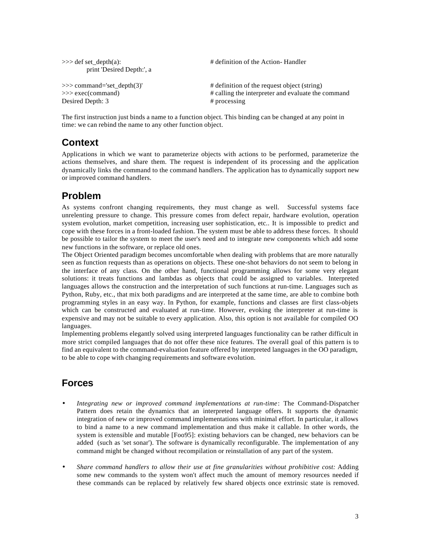| $\gg$ def set depth(a):<br>print 'Desired Depth:', a | # definition of the Action-Handler                 |  |
|------------------------------------------------------|----------------------------------------------------|--|
| $\gg$ command='set_depth(3)'                         | # definition of the request object (string)        |  |
| $\gg$ exec(command)                                  | # calling the interpreter and evaluate the command |  |
| Desired Depth: 3                                     | $#$ processing                                     |  |

The first instruction just binds a name to a function object. This binding can be changed at any point in time: we can rebind the name to any other function object.

## **Context**

Applications in which we want to parameterize objects with actions to be performed, parameterize the actions themselves, and share them. The request is independent of its processing and the application dynamically links the command to the command handlers. The application has to dynamically support new or improved command handlers.

# **Problem**

As systems confront changing requirements, they must change as well. Successful systems face unrelenting pressure to change. This pressure comes from defect repair, hardware evolution, operation system evolution, market competition, increasing user sophistication, etc.. It is impossible to predict and cope with these forces in a front-loaded fashion. The system must be able to address these forces. It should be possible to tailor the system to meet the user's need and to integrate new components which add some new functions in the software, or replace old ones.

The Object Oriented paradigm becomes uncomfortable when dealing with problems that are more naturally seen as function requests than as operations on objects. These one-shot behaviors do not seem to belong in the interface of any class. On the other hand, functional programming allows for some very elegant solutions: it treats functions and lambdas as objects that could be assigned to variables. Interpreted languages allows the construction and the interpretation of such functions at run-time. Languages such as Python, Ruby, etc., that mix both paradigms and are interpreted at the same time, are able to combine both programming styles in an easy way. In Python, for example, functions and classes are first class-objets which can be constructed and evaluated at run-time. However, evoking the interpreter at run-time is expensive and may not be suitable to every application. Also, this option is not available for compiled OO languages.

Implementing problems elegantly solved using interpreted languages functionality can be rather difficult in more strict compiled languages that do not offer these nice features. The overall goal of this pattern is to find an equivalent to the command-evaluation feature offered by interpreted languages in the OO paradigm, to be able to cope with changing requirements and software evolution.

# **Forces**

- *Integrating new or improved command implementations at run-time*: The Command-Dispatcher Pattern does retain the dynamics that an interpreted language offers. It supports the dynamic integration of new or improved command implementations with minimal effort. In particular, it allows to bind a name to a new command implementation and thus make it callable. In other words, the system is extensible and mutable [Foo95]: existing behaviors can be changed, new behaviors can be added (such as 'set sonar'). The software is dynamically reconfigurable. The implementation of any command might be changed without recompilation or reinstallation of any part of the system.
- *Share command handlers to allow their use at fine granularities without prohibitive cost:* Adding some new commands to the system won't affect much the amount of memory resources needed if these commands can be replaced by relatively few shared objects once extrinsic state is removed.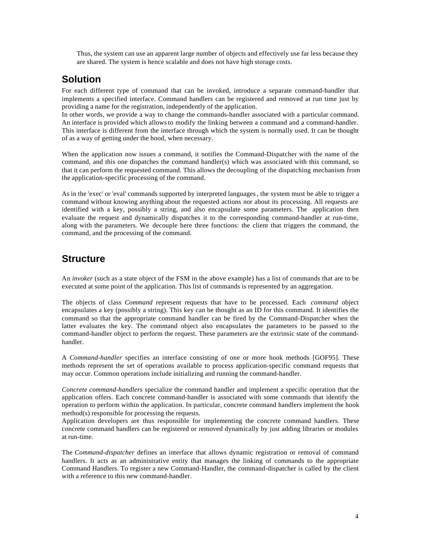Thus, the system can use an apparent large number of objects and effectively use far less because they are shared. The system is hence scalable and does not have high storage costs.

## **Solution**

For each different type of command that can be invoked, introduce a separate command-handler that implements a specified interface. Command handlers can be registered and removed at run time just by providing a name for the registration, independently of the application.

In other words, we provide a way to change the commands-handler associated with a particular command. An interface is provided which allows to modify the linking between a command and a command-handler. This interface is different from the interface through which the system is normally used. It can be thought of as a way of getting under the hood, when necessary.

When the application now issues a command, it notifies the Command-Dispatcher with the name of the command, and this one dispatches the command handler(s) which was associated with this command, so that it can perform the requested command. This allows the decoupling of the dispatching mechanism from the application-specific processing of the command.

As in the 'exec' or 'eval' commands supported by interpreted languages, the system must be able to trigger a command without knowing anything about the requested actions nor about its processing. All requests are identified with a key, possibly a string, and also encapsulate some parameters. The application then evaluate the request and dynamically dispatches it to the corresponding command-handler at run-time, along with the parameters. We decouple here three functions: the client that triggers the command, the command, and the processing of the command.

## **Structure**

An *invoker* (such as a state object of the FSM in the above example) has a list of commands that are to be executed at some point of the application. This list of commands is represented by an aggregation.

The objects of class *Command* represent requests that have to be processed. Each *command* object encapsulates a key (possibly a string). This key can be thought as an ID for this command. It identifies the command so that the appropriate command handler can be fired by the Command-Dispatcher when the latter evaluates the key. The command object also encapsulates the parameters to be passed to the command-handler object to perform the request. These parameters are the extrinsic state of the commandhandler.

A *Command-handler* specifies an interface consisting of one or more hook methods [GOF95]. These methods represent the set of operations available to process application-specific command requests that may occur. Common operations include initializing and running the command-handler.

*Concrete command-handlers* specialize the command handler and implement a specific operation that the application offers. Each concrete command-handler is associated with some commands that identify the operation to perform within the application. In particular, concrete command handlers implement the hook method(s) responsible for processing the requests.

Application developers are thus responsible for implementing the concrete command handlers. These concrete command handlers can be registered or removed dynamically by just adding libraries or modules at run-time.

The *Command-dispatcher* defines an interface that allows dynamic registration or removal of command handlers. It acts as an administrative entity that manages the linking of commands to the appropriate Command Handlers. To register a new Command-Handler, the command-dispatcher is called by the client with a reference to this new command-handler.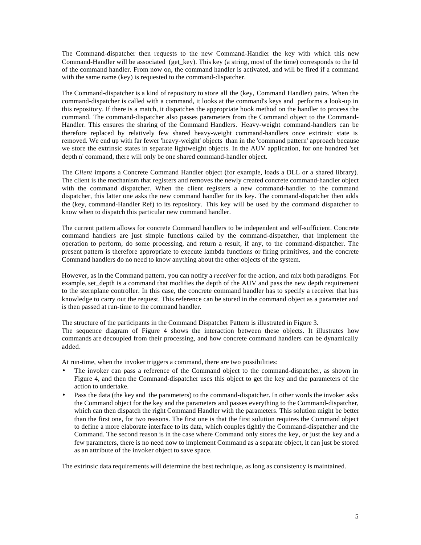The Command-dispatcher then requests to the new Command-Handler the key with which this new Command-Handler will be associated (get\_key). This key (a string, most of the time) corresponds to the Id of the command handler. From now on, the command handler is activated, and will be fired if a command with the same name (key) is requested to the command-dispatcher.

The Command-dispatcher is a kind of repository to store all the (key, Command Handler) pairs. When the command-dispatcher is called with a command, it looks at the command's keys and performs a look-up in this repository. If there is a match, it dispatches the appropriate hook method on the handler to process the command. The command-dispatcher also passes parameters from the Command object to the Command-Handler. This ensures the sharing of the Command Handlers. Heavy-weight command-handlers can be therefore replaced by relatively few shared heavy-weight command-handlers once extrinsic state is removed. We end up with far fewer 'heavy-weight' objects than in the 'command pattern' approach because we store the extrinsic states in separate lightweight objects. In the AUV application, for one hundred 'set depth n' command, there will only be one shared command-handler object.

The *Client* imports a Concrete Command Handler object (for example, loads a DLL or a shared library). The client is the mechanism that registers and removes the newly created concrete command-handler object with the command dispatcher. When the client registers a new command-handler to the command dispatcher, this latter one asks the new command handler for its key. The command-dispatcher then adds the (key, command-Handler Ref) to its repository. This key will be used by the command dispatcher to know when to dispatch this particular new command handler.

The current pattern allows for concrete Command handlers to be independent and self-sufficient. Concrete command handlers are just simple functions called by the command-dispatcher, that implement the operation to perform, do some processing, and return a result, if any, to the command-dispatcher. The present pattern is therefore appropriate to execute lambda functions or firing primitives, and the concrete Command handlers do no need to know anything about the other objects of the system.

However, as in the Command pattern, you can notify a *receiver* for the action, and mix both paradigms. For example, set depth is a command that modifies the depth of the AUV and pass the new depth requirement to the sternplane controller. In this case, the concrete command handler has to specify a receiver that has knowledge to carry out the request. This reference can be stored in the command object as a parameter and is then passed at run-time to the command handler.

The structure of the participants in the Command Dispatcher Pattern is illustrated in Figure 3. The sequence diagram of Figure 4 shows the interaction between these objects. It illustrates how commands are decoupled from their processing, and how concrete command handlers can be dynamically added.

At run-time, when the invoker triggers a command, there are two possibilities:

- The invoker can pass a reference of the Command object to the command-dispatcher, as shown in Figure 4, and then the Command-dispatcher uses this object to get the key and the parameters of the action to undertake.
- Pass the data (the key and the parameters) to the command-dispatcher. In other words the invoker asks the Command object for the key and the parameters and passes everything to the Command-dispatcher, which can then dispatch the right Command Handler with the parameters. This solution might be better than the first one, for two reasons. The first one is that the first solution requires the Command object to define a more elaborate interface to its data, which couples tightly the Command-dispatcher and the Command. The second reason is in the case where Command only stores the key, or just the key and a few parameters, there is no need now to implement Command as a separate object, it can just be stored as an attribute of the invoker object to save space.

The extrinsic data requirements will determine the best technique, as long as consistency is maintained.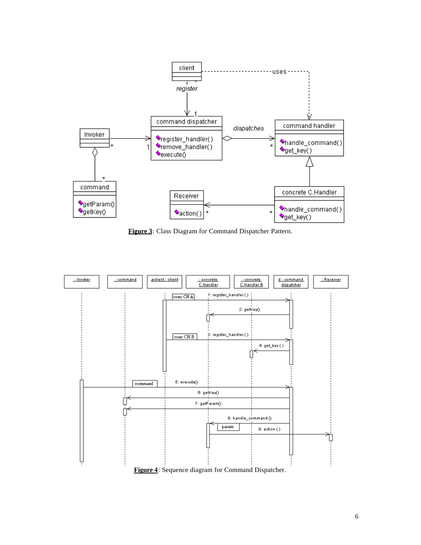

**Figure 3**: Class Diagram for Command Dispatcher Pattern.



**Figure 4**: Sequence diagram for Command Dispatcher.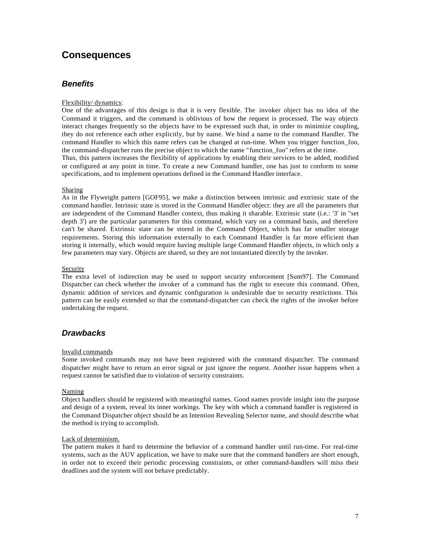## **Consequences**

### *Benefits*

#### Flexibility/ dynamics:

One of the advantages of this design is that it is very flexible. The invoker object has no idea of the Command it triggers, and the command is oblivious of how the request is processed. The way objects interact changes frequently so the objects have to be expressed such that, in order to minimize coupling, they do not reference each other explicitly, but by name. We bind a name to the command Handler. The command Handler to which this name refers can be changed at run-time. When you trigger function\_foo, the command-dispatcher runs the precise object to which the name "function\_foo" refers at the time.

Thus, this pattern increases the flexibility of applications by enabling their services to be added, modified or configured at any point in time. To create a new Command handler, one has just to conform to some specifications, and to implement operations defined in the Command Handler interface.

#### **Sharing**

As in the Flyweight pattern [GOF95], we make a distinction between intrinsic and extrinsic state of the command handler. Intrinsic state is stored in the Command Handler object: they are all the parameters that are independent of the Command Handler context, thus making it sharable. Extrinsic state (i.e.: '3' in "set depth 3') are the particular parameters for this command, which vary on a command basis, and therefore can't be shared. Extrinsic state can be stored in the Command Object, which has far smaller storage requirements. Storing this information externally to each Command Handler is far more efficient than storing it internally, which would require having multiple large Command Handler objects, in which only a few parameters may vary. Objects are shared, so they are not instantiated directly by the invoker.

#### Security

The extra level of indirection may be used to support security enforcement [Sum97]. The Command Dispatcher can check whether the invoker of a command has the right to execute this command. Often, dynamic addition of services and dynamic configuration is undesirable due to security restrictions. This pattern can be easily extended so that the command-dispatcher can check the rights of the invoker before undertaking the request.

### *Drawbacks*

#### Invalid commands

Some invoked commands may not have been registered with the command dispatcher. The command dispatcher might have to return an error signal or just ignore the request. Another issue happens when a request cannot be satisfied due to violation of security constraints.

#### Naming

Object handlers should be registered with meaningful names. Good names provide insight into the purpose and design of a system, reveal its inner workings. The key with which a command handler is registered in the Command Dispatcher object should be an Intention Revealing Selector name, and should describe what the method is trying to accomplish.

#### Lack of determinism.

The pattern makes it hard to determine the behavior of a command handler until run-time. For real-time systems, such as the AUV application, we have to make sure that the command handlers are short enough, in order not to exceed their periodic processing constraints, or other command-handlers will miss their deadlines and the system will not behave predictably.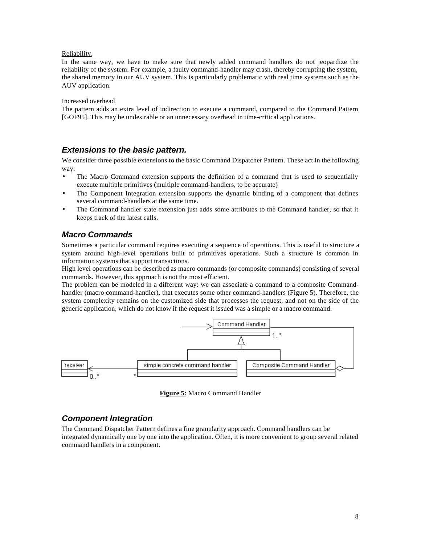#### Reliability.

In the same way, we have to make sure that newly added command handlers do not jeopardize the reliability of the system. For example, a faulty command-handler may crash, thereby corrupting the system, the shared memory in our AUV system. This is particularly problematic with real time systems such as the AUV application.

#### Increased overhead

The pattern adds an extra level of indirection to execute a command, compared to the Command Pattern [GOF95]. This may be undesirable or an unnecessary overhead in time-critical applications.

### *Extensions to the basic pattern.*

We consider three possible extensions to the basic Command Dispatcher Pattern. These act in the following way:

- The Macro Command extension supports the definition of a command that is used to sequentially execute multiple primitives (multiple command-handlers, to be accurate)
- The Component Integration extension supports the dynamic binding of a component that defines several command-handlers at the same time.
- The Command handler state extension just adds some attributes to the Command handler, so that it keeps track of the latest calls.

### *Macro Commands*

Sometimes a particular command requires executing a sequence of operations. This is useful to structure a system around high-level operations built of primitives operations. Such a structure is common in information systems that support transactions.

High level operations can be described as macro commands (or composite commands) consisting of several commands. However, this approach is not the most efficient.

The problem can be modeled in a different way: we can associate a command to a composite Commandhandler (macro command-handler), that executes some other command-handlers (Figure 5). Therefore, the system complexity remains on the customized side that processes the request, and not on the side of the generic application, which do not know if the request it issued was a simple or a macro command.



**Figure 5:** Macro Command Handler

### *Component Integration*

The Command Dispatcher Pattern defines a fine granularity approach. Command handlers can be integrated dynamically one by one into the application. Often, it is more convenient to group several related command handlers in a component.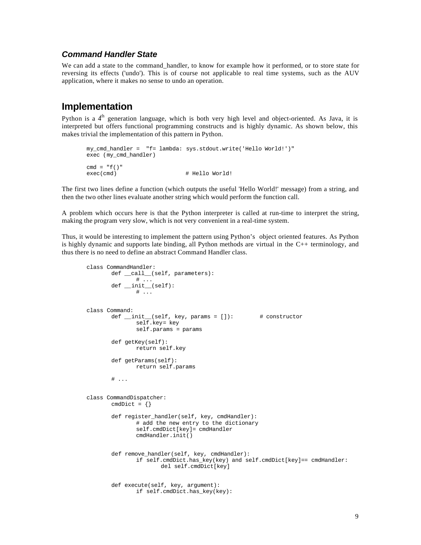### *Command Handler State*

We can add a state to the command handler, to know for example how it performed, or to store state for reversing its effects ('undo'). This is of course not applicable to real time systems, such as the AUV application, where it makes no sense to undo an operation.

## **Implementation**

Python is a 4<sup>th</sup> generation language, which is both very high level and object-oriented. As Java, it is interpreted but offers functional programming constructs and is highly dynamic. As shown below, this makes trivial the implementation of this pattern in Python.

```
my_cmd_handler = "f= lambda: sys.stdout.write('Hello World!')"
exec (my_cmd_handler)
cmd = "f()"exec(cmd) \# Hello World!
```
The first two lines define a function (which outputs the useful 'Hello World!' message) from a string, and then the two other lines evaluate another string which would perform the function call.

A problem which occurs here is that the Python interpreter is called at run-time to interpret the string, making the program very slow, which is not very convenient in a real-time system.

Thus, it would be interesting to implement the pattern using Python's object oriented features. As Python is highly dynamic and supports late binding, all Python methods are virtual in the C++ terminology, and thus there is no need to define an abstract Command Handler class.

```
class CommandHandler:
       def _call_(self, parameters):
             # ...
       def __init__(self):
              # ...
class Command:
       def __init__(self, key, params = []): # constructor
              self.key= key
              self.params = params
       def getKey(self):
              return self.key
       def getParams(self):
              return self.params
       # ...
class CommandDispatcher:
       cmdDict = { }def register_handler(self, key, cmdHandler):
              # add the new entry to the dictionary
              self.cmdDict[key]= cmdHandler
              cmdHandler.init()
       def remove_handler(self, key, cmdHandler):
              if self.cmdDict.has_key(key) and self.cmdDict[key]== cmdHandler:
                      del self.cmdDict[key]
       def execute(self, key, argument):
              if self.cmdDict.has_key(key):
```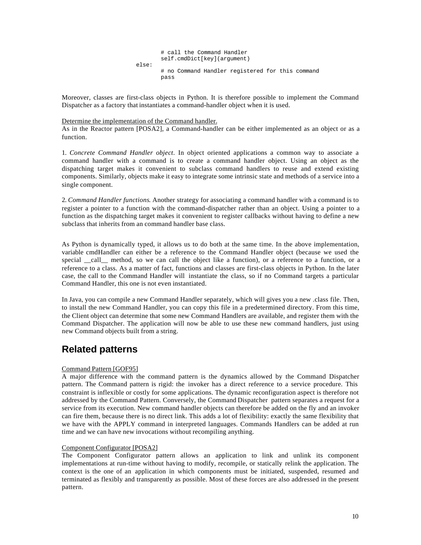# call the Command Handler self.cmdDict[key](argument) else: # no Command Handler registered for this command pass

Moreover, classes are first-class objects in Python. It is therefore possible to implement the Command Dispatcher as a factory that instantiates a command-handler object when it is used.

#### Determine the implementation of the Command handler.

As in the Reactor pattern [POSA2], a Command-handler can be either implemented as an object or as a function.

1. *Concrete Command Handler object*. In object oriented applications a common way to associate a command handler with a command is to create a command handler object. Using an object as the dispatching target makes it convenient to subclass command handlers to reuse and extend existing components. Similarly, objects make it easy to integrate some intrinsic state and methods of a service into a single component.

2. *Command Handler functions*. Another strategy for associating a command handler with a command is to register a pointer to a function with the command-dispatcher rather than an object. Using a pointer to a function as the dispatching target makes it convenient to register callbacks without having to define a new subclass that inherits from an command handler base class.

As Python is dynamically typed, it allows us to do both at the same time. In the above implementation, variable cmdHandler can either be a reference to the Command Handler object (because we used the special call method, so we can call the object like a function), or a reference to a function, or a reference to a class. As a matter of fact, functions and classes are first-class objects in Python. In the later case, the call to the Command Handler will instantiate the class, so if no Command targets a particular Command Handler, this one is not even instantiated.

In Java, you can compile a new Command Handler separately, which will gives you a new .class file. Then, to install the new Command Handler, you can copy this file in a predetermined directory. From this time, the Client object can determine that some new Command Handlers are available, and register them with the Command Dispatcher. The application will now be able to use these new command handlers, just using new Command objects built from a string.

## **Related patterns**

#### Command Pattern [GOF95]

A major difference with the command pattern is the dynamics allowed by the Command Dispatcher pattern. The Command pattern is rigid: the invoker has a direct reference to a service procedure. This constraint is inflexible or costly for some applications. The dynamic reconfiguration aspect is therefore not addressed by the Command Pattern. Conversely, the Command Dispatcher pattern separates a request for a service from its execution. New command handler objects can therefore be added on the fly and an invoker can fire them, because there is no direct link. This adds a lot of flexibility: exactly the same flexibility that we have with the APPLY command in interpreted languages. Commands Handlers can be added at run time and we can have new invocations without recompiling anything.

#### Component Configurator [POSA2]

The Component Configurator pattern allows an application to link and unlink its component implementations at run-time without having to modify, recompile, or statically relink the application. The context is the one of an application in which components must be initiated, suspended, resumed and terminated as flexibly and transparently as possible. Most of these forces are also addressed in the present pattern.